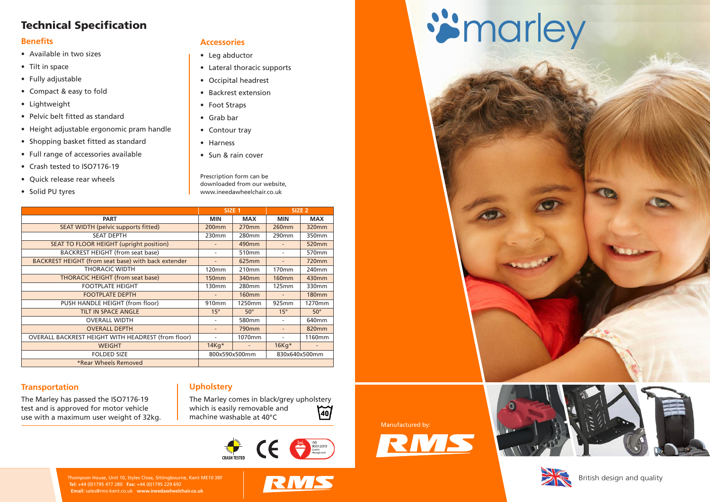

#### **Accessories**

- **•** Leg abductor
- **•** Lateral thoracic supports
- **•** Occipital headrest
- **•** Backrest extension
- **•** Foot Straps
- **•** Grab bar
- **•** Contour tray
- **•** Harness
- **•** Sun & rain cover

Prescription form can be downloaded from our website, www.ineedawheelchair.co.uk

#### **Upholstery**

The Marley comes in black/grey upholstery which is easily removable and machine washable at 40°C





RMS

Manufactured by:



## ismarley





|                                                           | SIZE <sub>1</sub> |                   | SIZE <sub>2</sub> |               |  |
|-----------------------------------------------------------|-------------------|-------------------|-------------------|---------------|--|
| <b>PART</b>                                               | <b>MIN</b>        | <b>MAX</b>        | <b>MIN</b>        | <b>MAX</b>    |  |
| <b>SEAT WIDTH (pelvic supports fitted)</b>                | 200 <sub>mm</sub> | <b>270mm</b>      | 260mm             | 320mm         |  |
| <b>SEAT DEPTH</b>                                         | 230mm             | 280 <sub>mm</sub> | 290mm             | 350mm         |  |
| SEAT TO FLOOR HEIGHT (upright position)                   |                   | 490mm             |                   | 520mm         |  |
| <b>BACKREST HEIGHT (from seat base)</b>                   |                   | 510mm             |                   | 570mm         |  |
| BACKREST HEIGHT (from seat base) with back extender       |                   | 625mm             |                   | 720mm         |  |
| <b>THORACIC WIDTH</b>                                     | 120mm             | 210mm             | 170mm             | 240mm         |  |
| <b>THORACIC HEIGHT (from seat base)</b>                   | <b>150mm</b>      | 340mm             | <b>160mm</b>      | 430mm         |  |
| <b>FOOTPLATE HEIGHT</b>                                   | 130mm             | 280mm             | 125mm             | 330mm         |  |
| <b>FOOTPLATE DEPTH</b>                                    |                   | <b>160mm</b>      |                   | <b>180mm</b>  |  |
| PUSH HANDLE HEIGHT (from floor)                           | 910mm             | 1250mm            | 925mm             | 1270mm        |  |
| <b>TILT IN SPACE ANGLE</b>                                | $15^\circ$        | $50^\circ$        | $15^\circ$        | $50^\circ$    |  |
| <b>OVERALL WIDTH</b>                                      |                   | 580mm             |                   | 640mm         |  |
| <b>OVERALL DEPTH</b>                                      |                   | <b>790mm</b>      |                   | 820mm         |  |
| <b>OVERALL BACKREST HEIGHT WITH HEADREST (from floor)</b> |                   | 1070mm            |                   | 1160mm        |  |
| <b>WEIGHT</b>                                             | $14Kq*$           |                   | 16Kg*             |               |  |
| <b>FOLDED SIZE</b>                                        | 800x590x500mm     |                   |                   | 830x640x500mm |  |
| *Rear Wheels Removed                                      |                   |                   |                   |               |  |

#### **Transportation**

The Marley has passed the ISO7176-19 test and is approved for motor vehicle use with a maximum user weight of 32kg.

#### British design and quality

## **Technical Specification**

#### **Benefits**

- **•** Available in two sizes
- **•** Tilt in space
- **•** Fully adjustable
- **•** Compact & easy to fold
- **•** Lightweight
- **•** Pelvic belt fitted as standard
- **•** Height adjustable ergonomic pram handle
- **•** Shopping basket fitted as standard
- **•** Full range of accessories available
- **•** Crash tested to ISO7176-19
- **•** Quick release rear wheels
- **•** Solid PU tyres